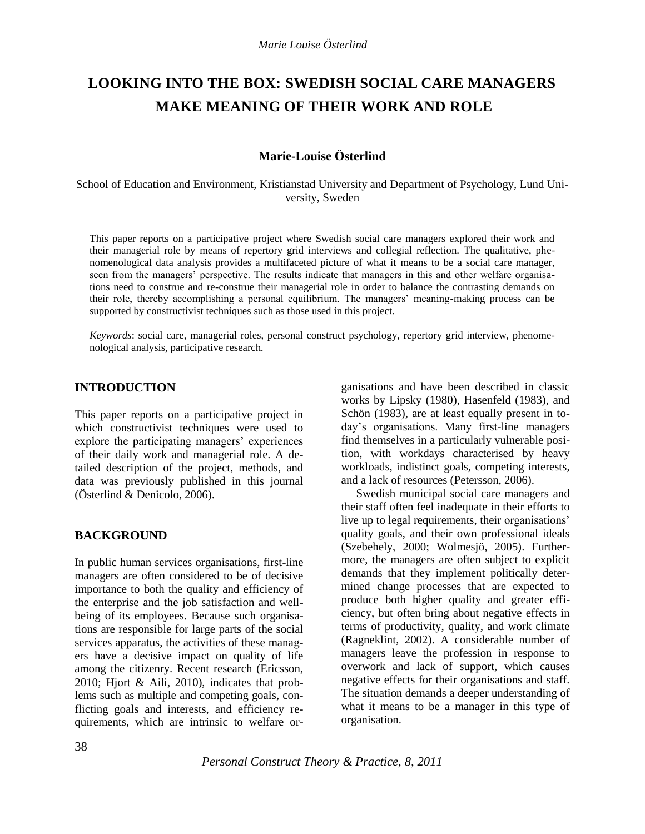# **LOOKING INTO THE BOX: SWEDISH SOCIAL CARE MANAGERS MAKE MEANING OF THEIR WORK AND ROLE**

# **Marie-Louise Österlind**

School of Education and Environment, Kristianstad University and Department of Psychology, Lund University, Sweden

This paper reports on a participative project where Swedish social care managers explored their work and their managerial role by means of repertory grid interviews and collegial reflection. The qualitative, phenomenological data analysis provides a multifaceted picture of what it means to be a social care manager, seen from the managers' perspective. The results indicate that managers in this and other welfare organisations need to construe and re-construe their managerial role in order to balance the contrasting demands on their role, thereby accomplishing a personal equilibrium. The managers" meaning-making process can be supported by constructivist techniques such as those used in this project.

*Keywords*: social care, managerial roles, personal construct psychology, repertory grid interview, phenomenological analysis, participative research*.*

## **INTRODUCTION**

This paper reports on a participative project in which constructivist techniques were used to explore the participating managers' experiences of their daily work and managerial role. A detailed description of the project, methods, and data was previously published in this journal (Österlind & Denicolo, 2006).

## **BACKGROUND**

In public human services organisations, first-line managers are often considered to be of decisive importance to both the quality and efficiency of the enterprise and the job satisfaction and wellbeing of its employees. Because such organisations are responsible for large parts of the social services apparatus, the activities of these managers have a decisive impact on quality of life among the citizenry. Recent research (Ericsson, 2010; Hjort & Aili, 2010), indicates that problems such as multiple and competing goals, conflicting goals and interests, and efficiency requirements, which are intrinsic to welfare organisations and have been described in classic works by Lipsky (1980), Hasenfeld (1983), and Schön (1983), are at least equally present in today"s organisations. Many first-line managers find themselves in a particularly vulnerable position, with workdays characterised by heavy workloads, indistinct goals, competing interests, and a lack of resources (Petersson, 2006).

Swedish municipal social care managers and their staff often feel inadequate in their efforts to live up to legal requirements, their organisations' quality goals, and their own professional ideals (Szebehely, 2000; Wolmesjö, 2005). Furthermore, the managers are often subject to explicit demands that they implement politically determined change processes that are expected to produce both higher quality and greater efficiency, but often bring about negative effects in terms of productivity, quality, and work climate (Ragneklint, 2002). A considerable number of managers leave the profession in response to overwork and lack of support, which causes negative effects for their organisations and staff. The situation demands a deeper understanding of what it means to be a manager in this type of organisation.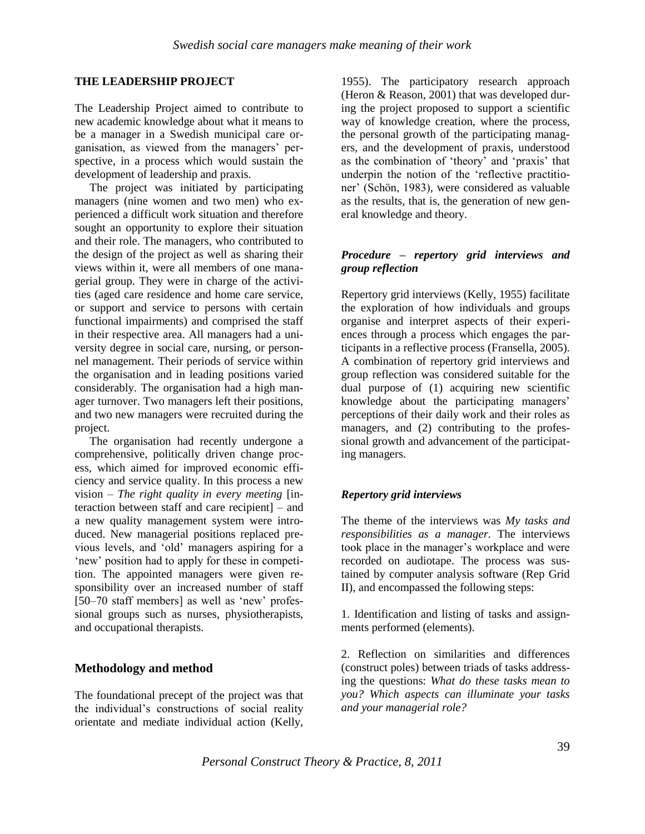## **THE LEADERSHIP PROJECT**

The Leadership Project aimed to contribute to new academic knowledge about what it means to be a manager in a Swedish municipal care organisation, as viewed from the managers' perspective, in a process which would sustain the development of leadership and praxis.

The project was initiated by participating managers (nine women and two men) who experienced a difficult work situation and therefore sought an opportunity to explore their situation and their role. The managers, who contributed to the design of the project as well as sharing their views within it, were all members of one managerial group. They were in charge of the activities (aged care residence and home care service, or support and service to persons with certain functional impairments) and comprised the staff in their respective area. All managers had a university degree in social care, nursing, or personnel management. Their periods of service within the organisation and in leading positions varied considerably. The organisation had a high manager turnover. Two managers left their positions, and two new managers were recruited during the project.

The organisation had recently undergone a comprehensive, politically driven change process, which aimed for improved economic efficiency and service quality. In this process a new vision – *The right quality in every meeting* [interaction between staff and care recipient] – and a new quality management system were introduced. New managerial positions replaced previous levels, and "old" managers aspiring for a 'new' position had to apply for these in competition. The appointed managers were given responsibility over an increased number of staff [50–70 staff members] as well as 'new' professional groups such as nurses, physiotherapists, and occupational therapists.

## **Methodology and method**

The foundational precept of the project was that the individual"s constructions of social reality orientate and mediate individual action (Kelly, 1955). The participatory research approach (Heron & Reason, 2001) that was developed during the project proposed to support a scientific way of knowledge creation, where the process, the personal growth of the participating managers, and the development of praxis, understood as the combination of 'theory' and 'praxis' that underpin the notion of the "reflective practitioner" (Schön, 1983), were considered as valuable as the results, that is, the generation of new general knowledge and theory.

#### *Procedure – repertory grid interviews and group reflection*

Repertory grid interviews (Kelly, 1955) facilitate the exploration of how individuals and groups organise and interpret aspects of their experiences through a process which engages the participants in a reflective process (Fransella, 2005). A combination of repertory grid interviews and group reflection was considered suitable for the dual purpose of (1) acquiring new scientific knowledge about the participating managers' perceptions of their daily work and their roles as managers, and (2) contributing to the professional growth and advancement of the participating managers.

## *Repertory grid interviews*

The theme of the interviews was *My tasks and responsibilities as a manager.* The interviews took place in the manager"s workplace and were recorded on audiotape. The process was sustained by computer analysis software (Rep Grid II), and encompassed the following steps:

1. Identification and listing of tasks and assignments performed (elements).

2. Reflection on similarities and differences (construct poles) between triads of tasks addressing the questions: *What do these tasks mean to you? Which aspects can illuminate your tasks and your managerial role?*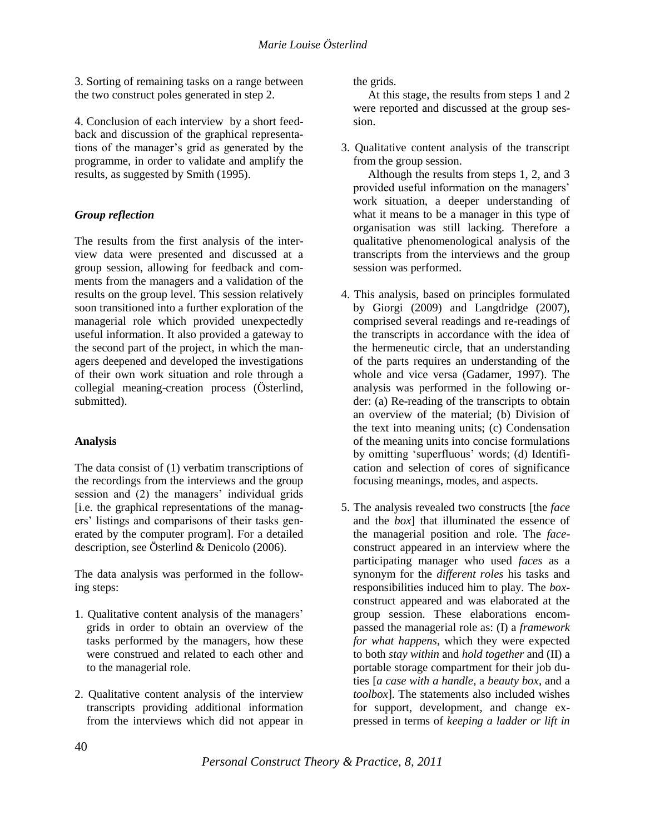3. Sorting of remaining tasks on a range between the two construct poles generated in step 2.

4. Conclusion of each interview by a short feedback and discussion of the graphical representations of the manager"s grid as generated by the programme, in order to validate and amplify the results, as suggested by Smith (1995).

## *Group reflection*

The results from the first analysis of the interview data were presented and discussed at a group session, allowing for feedback and comments from the managers and a validation of the results on the group level. This session relatively soon transitioned into a further exploration of the managerial role which provided unexpectedly useful information. It also provided a gateway to the second part of the project, in which the managers deepened and developed the investigations of their own work situation and role through a collegial meaning-creation process (Österlind, submitted).

## **Analysis**

The data consist of (1) verbatim transcriptions of the recordings from the interviews and the group session and (2) the managers' individual grids [i.e. the graphical representations of the managers" listings and comparisons of their tasks generated by the computer program]. For a detailed description, see Österlind & Denicolo (2006).

The data analysis was performed in the following steps:

- 1. Qualitative content analysis of the managers" grids in order to obtain an overview of the tasks performed by the managers, how these were construed and related to each other and to the managerial role.
- 2. Qualitative content analysis of the interview transcripts providing additional information from the interviews which did not appear in

the grids.

At this stage, the results from steps 1 and 2 were reported and discussed at the group session.

3. Qualitative content analysis of the transcript from the group session.

Although the results from steps 1, 2, and 3 provided useful information on the managers" work situation, a deeper understanding of what it means to be a manager in this type of organisation was still lacking. Therefore a qualitative phenomenological analysis of the transcripts from the interviews and the group session was performed.

- 4. This analysis, based on principles formulated by Giorgi (2009) and Langdridge (2007), comprised several readings and re-readings of the transcripts in accordance with the idea of the hermeneutic circle, that an understanding of the parts requires an understanding of the whole and vice versa (Gadamer, 1997). The analysis was performed in the following order: (a) Re-reading of the transcripts to obtain an overview of the material; (b) Division of the text into meaning units; (c) Condensation of the meaning units into concise formulations by omitting "superfluous" words; (d) Identification and selection of cores of significance focusing meanings, modes, and aspects.
- 5. The analysis revealed two constructs [the *face*  and the *box*] that illuminated the essence of the managerial position and role. The *face*construct appeared in an interview where the participating manager who used *faces* as a synonym for the *different roles* his tasks and responsibilities induced him to play*.* The *box*construct appeared and was elaborated at the group session. These elaborations encompassed the managerial role as: (I) a *framework for what happens*, which they were expected to both *stay within* and *hold together* and (II) a portable storage compartment for their job duties [*a case with a handle*, a *beauty box*, and a *toolbox*]. The statements also included wishes for support, development, and change expressed in terms of *keeping a ladder or lift in*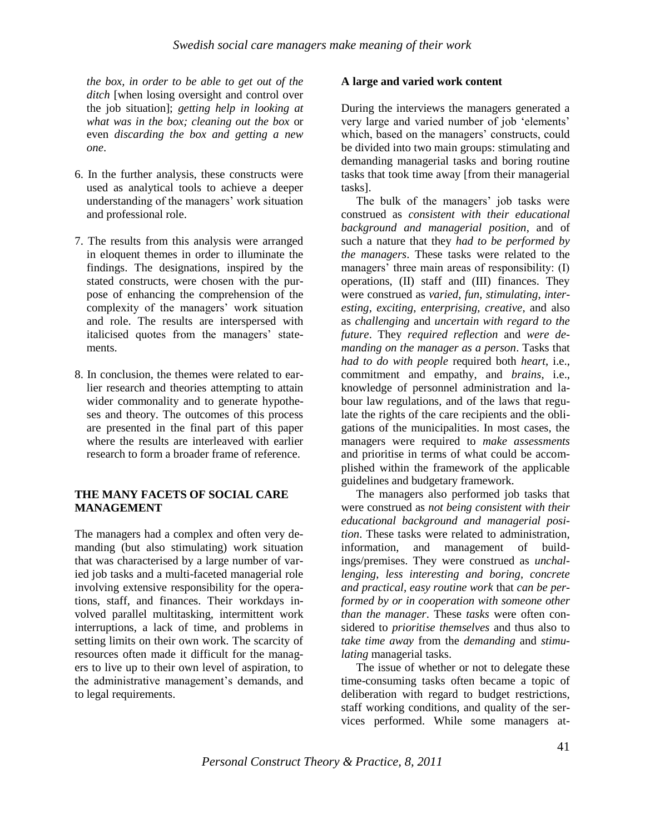*the box, in order to be able to get out of the ditch* [when losing oversight and control over the job situation]; *getting help in looking at what was in the box; cleaning out the box* or even *discarding the box and getting a new one*.

- 6. In the further analysis, these constructs were used as analytical tools to achieve a deeper understanding of the managers' work situation and professional role.
- 7. The results from this analysis were arranged in eloquent themes in order to illuminate the findings. The designations, inspired by the stated constructs, were chosen with the purpose of enhancing the comprehension of the complexity of the managers' work situation and role. The results are interspersed with italicised quotes from the managers' statements.
- 8. In conclusion, the themes were related to earlier research and theories attempting to attain wider commonality and to generate hypotheses and theory. The outcomes of this process are presented in the final part of this paper where the results are interleaved with earlier research to form a broader frame of reference.

#### **THE MANY FACETS OF SOCIAL CARE MANAGEMENT**

The managers had a complex and often very demanding (but also stimulating) work situation that was characterised by a large number of varied job tasks and a multi-faceted managerial role involving extensive responsibility for the operations, staff, and finances. Their workdays involved parallel multitasking, intermittent work interruptions, a lack of time, and problems in setting limits on their own work. The scarcity of resources often made it difficult for the managers to live up to their own level of aspiration, to the administrative management's demands, and to legal requirements.

## **A large and varied work content**

During the interviews the managers generated a very large and varied number of job "elements" which, based on the managers' constructs, could be divided into two main groups: stimulating and demanding managerial tasks and boring routine tasks that took time away [from their managerial tasks].

The bulk of the managers' job tasks were construed as *consistent with their educational background and managerial position*, and of such a nature that they *had to be performed by the managers*. These tasks were related to the managers' three main areas of responsibility: (I) operations, (II) staff and (III) finances. They were construed as *varied*, *fun*, *stimulating*, *interesting*, *exciting, enterprising, creative*, and also as *challenging* and *uncertain with regard to the future*. They *required reflection* and *were demanding on the manager as a person*. Tasks that *had to do with people* required both *heart*, i.e., commitment and empathy, and *brains*, i.e., knowledge of personnel administration and labour law regulations, and of the laws that regulate the rights of the care recipients and the obligations of the municipalities. In most cases, the managers were required to *make assessments* and prioritise in terms of what could be accomplished within the framework of the applicable guidelines and budgetary framework.

The managers also performed job tasks that were construed as *not being consistent with their educational background and managerial position*. These tasks were related to administration, information, and management of buildings/premises. They were construed as *unchallenging*, *less interesting and boring, concrete and practical*, *easy routine work* that *can be performed by or in cooperation with someone other than the manager*. These *tasks* were often considered to *prioritise themselves* and thus also to *take time away* from the *demanding* and *stimulating* managerial tasks.

The issue of whether or not to delegate these time-consuming tasks often became a topic of deliberation with regard to budget restrictions, staff working conditions, and quality of the services performed. While some managers at-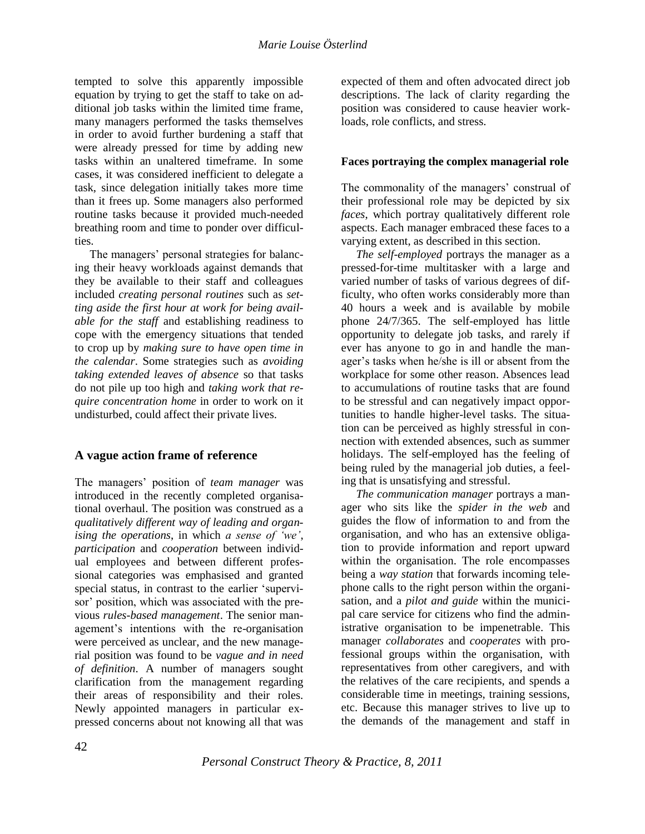tempted to solve this apparently impossible equation by trying to get the staff to take on additional job tasks within the limited time frame, many managers performed the tasks themselves in order to avoid further burdening a staff that were already pressed for time by adding new tasks within an unaltered timeframe. In some cases, it was considered inefficient to delegate a task, since delegation initially takes more time than it frees up. Some managers also performed routine tasks because it provided much-needed breathing room and time to ponder over difficulties.

The managers' personal strategies for balancing their heavy workloads against demands that they be available to their staff and colleagues included *creating personal routines* such as *setting aside the first hour at work for being available for the staff* and establishing readiness to cope with the emergency situations that tended to crop up by *making sure to have open time in the calendar*. Some strategies such as *avoiding taking extended leaves of absence* so that tasks do not pile up too high and *taking work that require concentration home* in order to work on it undisturbed, could affect their private lives.

# **A vague action frame of reference**

The managers" position of *team manager* was introduced in the recently completed organisational overhaul. The position was construed as a *qualitatively different way of leading and organising the operations*, in which *a sense of "we"*, *participation* and *cooperation* between individual employees and between different professional categories was emphasised and granted special status, in contrast to the earlier "supervisor" position, which was associated with the previous *rules-based management*. The senior management"s intentions with the re-organisation were perceived as unclear, and the new managerial position was found to be *vague and in need of definition*. A number of managers sought clarification from the management regarding their areas of responsibility and their roles. Newly appointed managers in particular expressed concerns about not knowing all that was

expected of them and often advocated direct job descriptions. The lack of clarity regarding the position was considered to cause heavier workloads, role conflicts, and stress.

## **Faces portraying the complex managerial role**

The commonality of the managers' construal of their professional role may be depicted by six *faces*, which portray qualitatively different role aspects. Each manager embraced these faces to a varying extent, as described in this section.

*The self-employed* portrays the manager as a pressed-for-time multitasker with a large and varied number of tasks of various degrees of difficulty, who often works considerably more than 40 hours a week and is available by mobile phone 24/7/365. The self-employed has little opportunity to delegate job tasks, and rarely if ever has anyone to go in and handle the manager"s tasks when he/she is ill or absent from the workplace for some other reason. Absences lead to accumulations of routine tasks that are found to be stressful and can negatively impact opportunities to handle higher-level tasks. The situation can be perceived as highly stressful in connection with extended absences, such as summer holidays. The self-employed has the feeling of being ruled by the managerial job duties, a feeling that is unsatisfying and stressful.

*The communication manager* portrays a manager who sits like the *spider in the web* and guides the flow of information to and from the organisation, and who has an extensive obligation to provide information and report upward within the organisation. The role encompasses being a *way station* that forwards incoming telephone calls to the right person within the organisation, and a *pilot and guide* within the municipal care service for citizens who find the administrative organisation to be impenetrable. This manager *collaborates* and *cooperates* with professional groups within the organisation, with representatives from other caregivers, and with the relatives of the care recipients, and spends a considerable time in meetings, training sessions, etc. Because this manager strives to live up to the demands of the management and staff in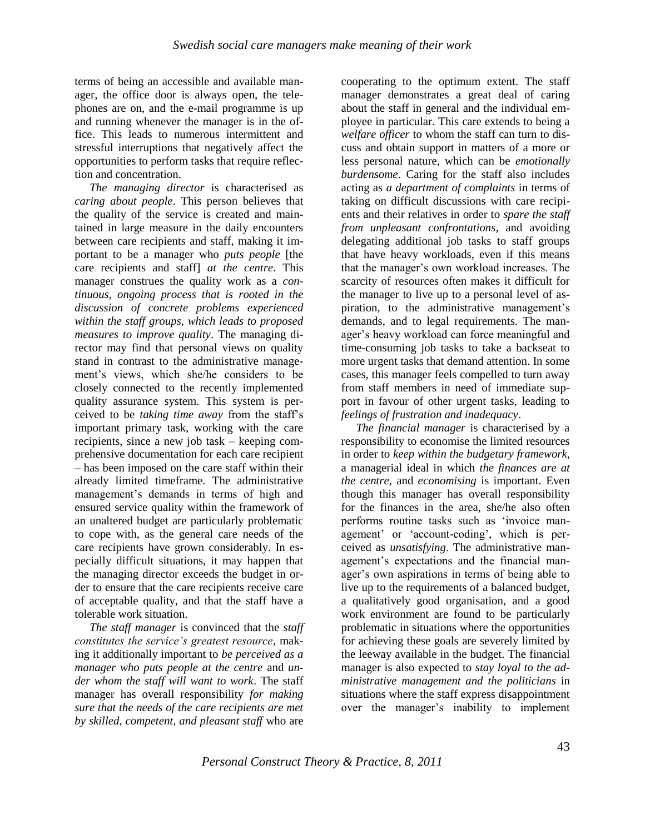terms of being an accessible and available manager, the office door is always open, the telephones are on, and the e-mail programme is up and running whenever the manager is in the office. This leads to numerous intermittent and stressful interruptions that negatively affect the opportunities to perform tasks that require reflection and concentration.

*The managing director* is characterised as *caring about people*. This person believes that the quality of the service is created and maintained in large measure in the daily encounters between care recipients and staff, making it important to be a manager who *puts people* [the care recipients and staff] *at the centre*. This manager construes the quality work as a *continuous, ongoing process that is rooted in the discussion of concrete problems experienced within the staff groups, which leads to proposed measures to improve quality*. The managing director may find that personal views on quality stand in contrast to the administrative management"s views, which she/he considers to be closely connected to the recently implemented quality assurance system. This system is perceived to be *taking time away* from the staff"s important primary task, working with the care recipients, since a new job task – keeping comprehensive documentation for each care recipient – has been imposed on the care staff within their already limited timeframe. The administrative management's demands in terms of high and ensured service quality within the framework of an unaltered budget are particularly problematic to cope with, as the general care needs of the care recipients have grown considerably. In especially difficult situations, it may happen that the managing director exceeds the budget in order to ensure that the care recipients receive care of acceptable quality, and that the staff have a tolerable work situation.

*The staff manager* is convinced that the *staff constitutes the service"s greatest resource*, making it additionally important to *be perceived as a manager who puts people at the centre* and *under whom the staff will want to work*. The staff manager has overall responsibility *for making sure that the needs of the care recipients are met by skilled, competent, and pleasant staff* who are

cooperating to the optimum extent. The staff manager demonstrates a great deal of caring about the staff in general and the individual employee in particular. This care extends to being a *welfare officer* to whom the staff can turn to discuss and obtain support in matters of a more or less personal nature, which can be *emotionally burdensome*. Caring for the staff also includes acting as *a department of complaints* in terms of taking on difficult discussions with care recipients and their relatives in order to *spare the staff from unpleasant confrontations*, and avoiding delegating additional job tasks to staff groups that have heavy workloads, even if this means that the manager"s own workload increases. The scarcity of resources often makes it difficult for the manager to live up to a personal level of aspiration, to the administrative management's demands, and to legal requirements. The manager"s heavy workload can force meaningful and time-consuming job tasks to take a backseat to more urgent tasks that demand attention. In some cases, this manager feels compelled to turn away from staff members in need of immediate support in favour of other urgent tasks, leading to *feelings of frustration and inadequacy*.

*The financial manager* is characterised by a responsibility to economise the limited resources in order to *keep within the budgetary framework*, a managerial ideal in which *the finances are at the centre*, and *economising* is important. Even though this manager has overall responsibility for the finances in the area, she/he also often performs routine tasks such as "invoice management' or 'account-coding', which is perceived as *unsatisfying*. The administrative management's expectations and the financial manager's own aspirations in terms of being able to live up to the requirements of a balanced budget, a qualitatively good organisation, and a good work environment are found to be particularly problematic in situations where the opportunities for achieving these goals are severely limited by the leeway available in the budget. The financial manager is also expected to *stay loyal to the administrative management and the politicians* in situations where the staff express disappointment over the manager"s inability to implement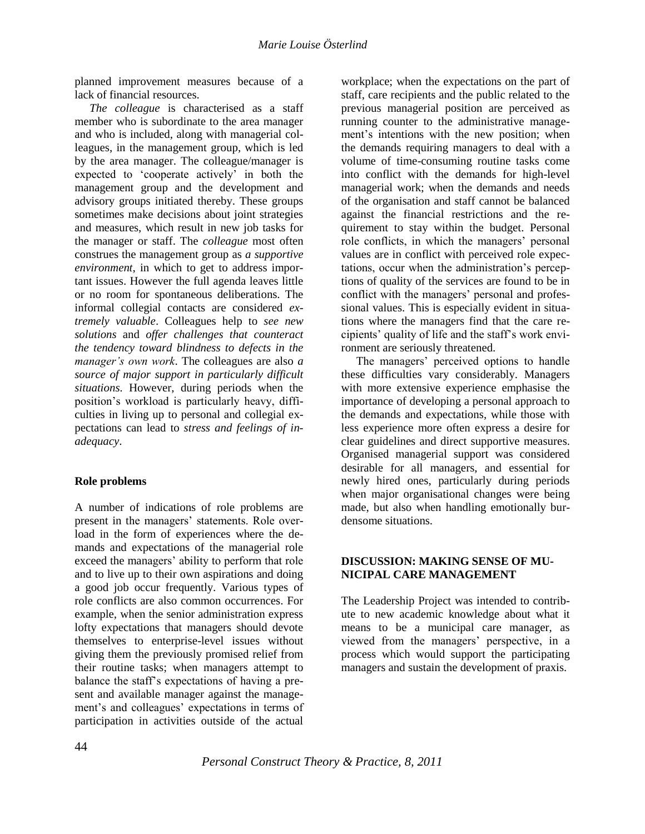planned improvement measures because of a lack of financial resources.

*The colleague* is characterised as a staff member who is subordinate to the area manager and who is included, along with managerial colleagues, in the management group, which is led by the area manager. The colleague/manager is expected to "cooperate actively" in both the management group and the development and advisory groups initiated thereby. These groups sometimes make decisions about joint strategies and measures, which result in new job tasks for the manager or staff. The *colleague* most often construes the management group as *a supportive environment*, in which to get to address important issues. However the full agenda leaves little or no room for spontaneous deliberations. The informal collegial contacts are considered *extremely valuable*. Colleagues help to *see new solutions* and *offer challenges that counteract the tendency toward blindness to defects in the manager"s own work*. The colleagues are also *a source of major support in particularly difficult situations*. However, during periods when the position"s workload is particularly heavy, difficulties in living up to personal and collegial expectations can lead to *stress and feelings of inadequacy*.

## **Role problems**

A number of indications of role problems are present in the managers' statements. Role overload in the form of experiences where the demands and expectations of the managerial role exceed the managers' ability to perform that role and to live up to their own aspirations and doing a good job occur frequently. Various types of role conflicts are also common occurrences. For example, when the senior administration express lofty expectations that managers should devote themselves to enterprise-level issues without giving them the previously promised relief from their routine tasks; when managers attempt to balance the staff"s expectations of having a present and available manager against the management's and colleagues' expectations in terms of participation in activities outside of the actual

workplace; when the expectations on the part of staff, care recipients and the public related to the previous managerial position are perceived as running counter to the administrative management's intentions with the new position; when the demands requiring managers to deal with a volume of time-consuming routine tasks come into conflict with the demands for high-level managerial work; when the demands and needs of the organisation and staff cannot be balanced against the financial restrictions and the requirement to stay within the budget. Personal role conflicts, in which the managers' personal values are in conflict with perceived role expectations, occur when the administration"s perceptions of quality of the services are found to be in conflict with the managers' personal and professional values. This is especially evident in situations where the managers find that the care recipients" quality of life and the staff"s work environment are seriously threatened.

The managers' perceived options to handle these difficulties vary considerably. Managers with more extensive experience emphasise the importance of developing a personal approach to the demands and expectations, while those with less experience more often express a desire for clear guidelines and direct supportive measures. Organised managerial support was considered desirable for all managers, and essential for newly hired ones, particularly during periods when major organisational changes were being made, but also when handling emotionally burdensome situations.

## **DISCUSSION: MAKING SENSE OF MU-NICIPAL CARE MANAGEMENT**

The Leadership Project was intended to contribute to new academic knowledge about what it means to be a municipal care manager, as viewed from the managers" perspective, in a process which would support the participating managers and sustain the development of praxis.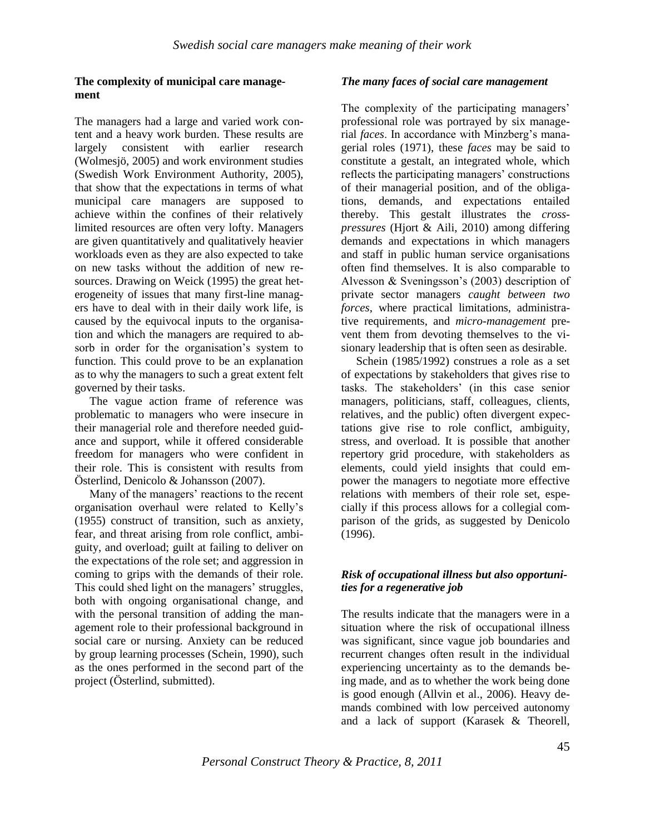## **The complexity of municipal care management**

The managers had a large and varied work content and a heavy work burden. These results are largely consistent with earlier research (Wolmesjö, 2005) and work environment studies (Swedish Work Environment Authority, 2005), that show that the expectations in terms of what municipal care managers are supposed to achieve within the confines of their relatively limited resources are often very lofty. Managers are given quantitatively and qualitatively heavier workloads even as they are also expected to take on new tasks without the addition of new resources. Drawing on Weick (1995) the great heterogeneity of issues that many first-line managers have to deal with in their daily work life, is caused by the equivocal inputs to the organisation and which the managers are required to absorb in order for the organisation's system to function. This could prove to be an explanation as to why the managers to such a great extent felt governed by their tasks.

The vague action frame of reference was problematic to managers who were insecure in their managerial role and therefore needed guidance and support, while it offered considerable freedom for managers who were confident in their role. This is consistent with results from Österlind, Denicolo & Johansson (2007).

Many of the managers' reactions to the recent organisation overhaul were related to Kelly"s (1955) construct of transition, such as anxiety, fear, and threat arising from role conflict, ambiguity, and overload; guilt at failing to deliver on the expectations of the role set; and aggression in coming to grips with the demands of their role. This could shed light on the managers' struggles, both with ongoing organisational change, and with the personal transition of adding the management role to their professional background in social care or nursing. Anxiety can be reduced by group learning processes (Schein, 1990), such as the ones performed in the second part of the project (Österlind, submitted).

#### *The many faces of social care management*

The complexity of the participating managers' professional role was portrayed by six managerial *faces*. In accordance with Minzberg's managerial roles (1971), these *faces* may be said to constitute a gestalt, an integrated whole, which reflects the participating managers' constructions of their managerial position, and of the obligations, demands, and expectations entailed thereby. This gestalt illustrates the *crosspressures* (Hjort & Aili, 2010) among differing demands and expectations in which managers and staff in public human service organisations often find themselves. It is also comparable to Alvesson & Sveningsson"s (2003) description of private sector managers *caught between two forces*, where practical limitations, administrative requirements, and *micro-management* prevent them from devoting themselves to the visionary leadership that is often seen as desirable.

Schein (1985/1992) construes a role as a set of expectations by stakeholders that gives rise to tasks. The stakeholders" (in this case senior managers, politicians, staff, colleagues, clients, relatives, and the public) often divergent expectations give rise to role conflict, ambiguity, stress, and overload. It is possible that another repertory grid procedure, with stakeholders as elements, could yield insights that could empower the managers to negotiate more effective relations with members of their role set, especially if this process allows for a collegial comparison of the grids, as suggested by Denicolo (1996).

## *Risk of occupational illness but also opportunities for a regenerative job*

The results indicate that the managers were in a situation where the risk of occupational illness was significant, since vague job boundaries and recurrent changes often result in the individual experiencing uncertainty as to the demands being made, and as to whether the work being done is good enough (Allvin et al., 2006). Heavy demands combined with low perceived autonomy and a lack of support (Karasek & Theorell,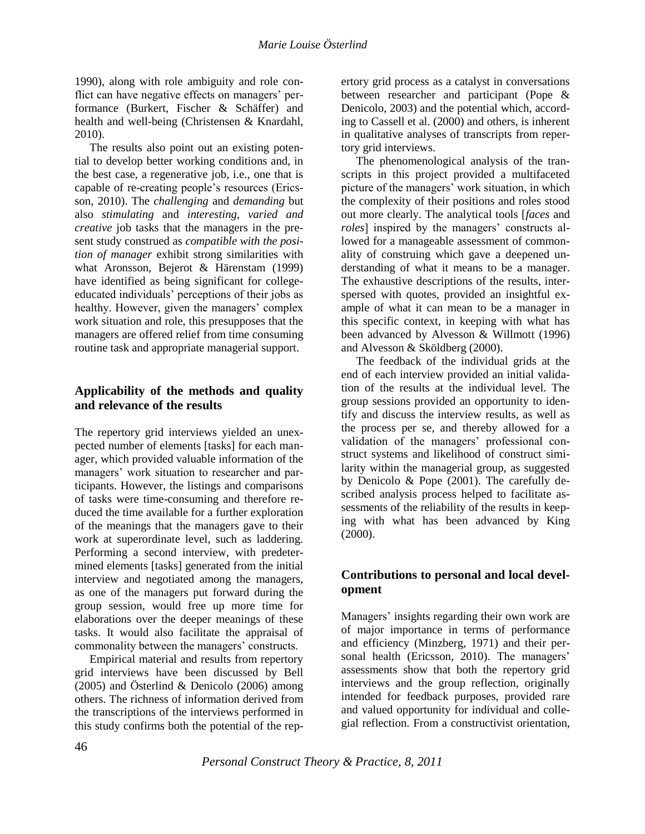1990), along with role ambiguity and role conflict can have negative effects on managers' performance (Burkert, Fischer & Schäffer) and health and well-being (Christensen & Knardahl, 2010).

The results also point out an existing potential to develop better working conditions and, in the best case, a regenerative job, i.e., one that is capable of re-creating people"s resources (Ericsson, 2010). The *challenging* and *demanding* but also *stimulating* and *interesting, varied and creative* job tasks that the managers in the present study construed as *compatible with the position of manager* exhibit strong similarities with what Aronsson, Bejerot & Härenstam (1999) have identified as being significant for collegeeducated individuals" perceptions of their jobs as healthy. However, given the managers' complex work situation and role, this presupposes that the managers are offered relief from time consuming routine task and appropriate managerial support.

# **Applicability of the methods and quality and relevance of the results**

The repertory grid interviews yielded an unexpected number of elements [tasks] for each manager, which provided valuable information of the managers' work situation to researcher and participants. However, the listings and comparisons of tasks were time-consuming and therefore reduced the time available for a further exploration of the meanings that the managers gave to their work at superordinate level, such as laddering. Performing a second interview, with predetermined elements [tasks] generated from the initial interview and negotiated among the managers, as one of the managers put forward during the group session, would free up more time for elaborations over the deeper meanings of these tasks. It would also facilitate the appraisal of commonality between the managers' constructs.

Empirical material and results from repertory grid interviews have been discussed by Bell (2005) and Österlind & Denicolo (2006) among others. The richness of information derived from the transcriptions of the interviews performed in this study confirms both the potential of the repertory grid process as a catalyst in conversations between researcher and participant (Pope & Denicolo, 2003) and the potential which, according to Cassell et al. (2000) and others, is inherent in qualitative analyses of transcripts from repertory grid interviews.

The phenomenological analysis of the transcripts in this project provided a multifaceted picture of the managers' work situation, in which the complexity of their positions and roles stood out more clearly. The analytical tools [*faces* and *roles*] inspired by the managers' constructs allowed for a manageable assessment of commonality of construing which gave a deepened understanding of what it means to be a manager. The exhaustive descriptions of the results, interspersed with quotes, provided an insightful example of what it can mean to be a manager in this specific context, in keeping with what has been advanced by Alvesson & Willmott (1996) and Alvesson & Sköldberg (2000).

The feedback of the individual grids at the end of each interview provided an initial validation of the results at the individual level. The group sessions provided an opportunity to identify and discuss the interview results, as well as the process per se, and thereby allowed for a validation of the managers' professional construct systems and likelihood of construct similarity within the managerial group, as suggested by Denicolo & Pope (2001). The carefully described analysis process helped to facilitate assessments of the reliability of the results in keeping with what has been advanced by King  $(2000).$ 

# **Contributions to personal and local development**

Managers' insights regarding their own work are of major importance in terms of performance and efficiency (Minzberg, 1971) and their personal health (Ericsson, 2010). The managers' assessments show that both the repertory grid interviews and the group reflection, originally intended for feedback purposes, provided rare and valued opportunity for individual and collegial reflection. From a constructivist orientation,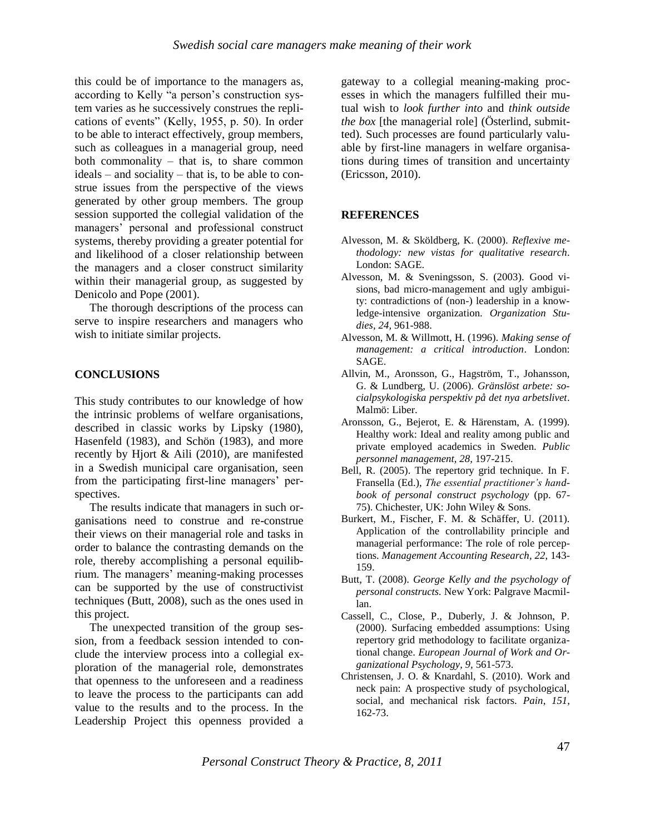this could be of importance to the managers as, according to Kelly "a person's construction system varies as he successively construes the replications of events" (Kelly, 1955, p. 50). In order to be able to interact effectively, group members, such as colleagues in a managerial group, need both commonality – that is, to share common ideals – and sociality – that is, to be able to construe issues from the perspective of the views generated by other group members. The group session supported the collegial validation of the managers" personal and professional construct systems, thereby providing a greater potential for and likelihood of a closer relationship between the managers and a closer construct similarity within their managerial group, as suggested by Denicolo and Pope (2001).

The thorough descriptions of the process can serve to inspire researchers and managers who wish to initiate similar projects.

## **CONCLUSIONS**

This study contributes to our knowledge of how the intrinsic problems of welfare organisations, described in classic works by Lipsky (1980), Hasenfeld (1983), and Schön (1983), and more recently by Hjort & Aili (2010), are manifested in a Swedish municipal care organisation, seen from the participating first-line managers' perspectives.

The results indicate that managers in such organisations need to construe and re-construe their views on their managerial role and tasks in order to balance the contrasting demands on the role, thereby accomplishing a personal equilibrium. The managers" meaning-making processes can be supported by the use of constructivist techniques (Butt, 2008), such as the ones used in this project.

The unexpected transition of the group session, from a feedback session intended to conclude the interview process into a collegial exploration of the managerial role, demonstrates that openness to the unforeseen and a readiness to leave the process to the participants can add value to the results and to the process. In the Leadership Project this openness provided a gateway to a collegial meaning-making processes in which the managers fulfilled their mutual wish to *look further into* and *think outside the box* [the managerial role] (Österlind, submitted). Such processes are found particularly valuable by first-line managers in welfare organisations during times of transition and uncertainty (Ericsson, 2010).

## **REFERENCES**

- Alvesson, M. & Sköldberg, K. (2000). *Reflexive methodology: new vistas for qualitative research*. London: SAGE.
- Alvesson, M. & Sveningsson, S. (2003). Good visions, bad micro-management and ugly ambiguity: contradictions of (non-) leadership in a knowledge-intensive organization. *Organization Studies, 24,* 961-988.
- Alvesson, M. & Willmott, H. (1996). *Making sense of management: a critical introduction*. London: SAGE.
- Allvin, M., Aronsson, G., Hagström, T., Johansson, G. & Lundberg, U. (2006). *Gränslöst arbete: socialpsykologiska perspektiv på det nya arbetslivet*. Malmö: Liber.
- Aronsson, G., Bejerot, E. & Härenstam, A. (1999). Healthy work: Ideal and reality among public and private employed academics in Sweden. *Public personnel management, 28,* 197-215.
- Bell, R. (2005). The repertory grid technique. In F. Fransella (Ed.), *The essential practitioner"s handbook of personal construct psychology* (pp. 67- 75). Chichester, UK: John Wiley & Sons.
- Burkert, M., Fischer, F. M. & Schäffer, U. (2011). Application of the controllability principle and managerial performance: The role of role perceptions. *Management Accounting Research, 22,* 143- 159.
- Butt, T. (2008). *George Kelly and the psychology of personal constructs.* New York: Palgrave Macmillan.
- Cassell, C., Close, P., Duberly, J. & Johnson, P. (2000). Surfacing embedded assumptions: Using repertory grid methodology to facilitate organizational change. *European Journal of Work and Organizational Psychology, 9,* 561-573.
- Christensen, J. O. & Knardahl, S. (2010). Work and neck pain: A prospective study of psychological, social, and mechanical risk factors. *Pain*, *151*, 162-73.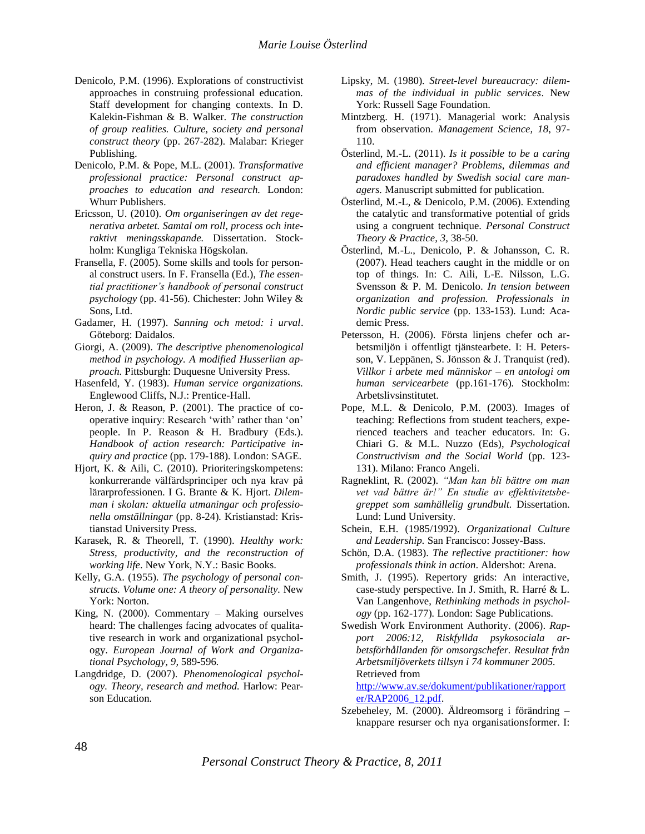- Denicolo, P.M. (1996). Explorations of constructivist approaches in construing professional education. Staff development for changing contexts. In D. Kalekin-Fishman & B. Walker. *The construction of group realities. Culture, society and personal construct theory* (pp. 267-282). Malabar: Krieger Publishing.
- Denicolo, P.M. & Pope, M.L. (2001). *Transformative professional practice: Personal construct approaches to education and research.* London: Whurr Publishers.
- Ericsson, U. (2010). *Om organiseringen av det regenerativa arbetet. Samtal om roll, process och interaktivt meningsskapande.* Dissertation. Stockholm: Kungliga Tekniska Högskolan.
- Fransella, F. (2005). Some skills and tools for personal construct users. In F. Fransella (Ed.), *The essential practitioner"s handbook of personal construct psychology* (pp. 41-56). Chichester: John Wiley & Sons, Ltd.
- Gadamer, H. (1997). *Sanning och metod: i urval*. Göteborg: Daidalos.
- Giorgi, A. (2009). *The descriptive phenomenological method in psychology. A modified Husserlian approach.* Pittsburgh: Duquesne University Press.
- Hasenfeld, Y. (1983). *Human service organizations.*  Englewood Cliffs, N.J.: Prentice-Hall.
- Heron, J. & Reason, P. (2001). The practice of cooperative inquiry: Research 'with' rather than 'on' people. In P. Reason & H. Bradbury (Eds.). *Handbook of action research: Participative inquiry and practice* (pp. 179-188)*.* London: SAGE.
- Hjort, K. & Aili, C. (2010). Prioriteringskompetens: konkurrerande välfärdsprinciper och nya krav på lärarprofessionen. I G. Brante & K. Hjort. *Dilemman i skolan: aktuella utmaningar och professionella omställningar* (pp. 8-24)*.* Kristianstad: Kristianstad University Press.
- Karasek, R. & Theorell, T. (1990). *Healthy work: Stress, productivity, and the reconstruction of working life*. New York, N.Y.: Basic Books.
- Kelly, G.A. (1955). *The psychology of personal constructs. Volume one: A theory of personality.* New York: Norton.
- King, N. (2000). Commentary Making ourselves heard: The challenges facing advocates of qualitative research in work and organizational psychology. *European Journal of Work and Organizational Psychology, 9,* 589-596*.*
- Langdridge, D. (2007). *Phenomenological psychology. Theory, research and method.* Harlow: Pearson Education.
- Lipsky, M. (1980). *Street-level bureaucracy: dilemmas of the individual in public services*. New York: Russell Sage Foundation.
- Mintzberg. H. (1971). Managerial work: Analysis from observation. *Management Science, 18*, 97- 110.
- Österlind, M.-L. (2011). *Is it possible to be a caring and efficient manager? Problems, dilemmas and paradoxes handled by Swedish social care managers.* Manuscript submitted for publication.
- Österlind, M.-L, & Denicolo, P.M. (2006). Extending the catalytic and transformative potential of grids using a congruent technique. *Personal Construct Theory & Practice, 3,* 38-50.
- Österlind, M.-L., Denicolo, P. & Johansson, C. R. (2007). Head teachers caught in the middle or on top of things. In: C. Aili, L-E. Nilsson, L.G. Svensson & P. M. Denicolo. *In tension between organization and profession. Professionals in Nordic public service* (pp. 133-153)*.* Lund: Academic Press.
- Petersson, H. (2006). Första linjens chefer och arbetsmiljön i offentligt tjänstearbete. I: H. Petersson, V. Leppänen, S. Jönsson & J. Tranquist (red). *Villkor i arbete med människor – en antologi om human servicearbete* (pp.161-176)*.* Stockholm: Arbetslivsinstitutet.
- Pope, M.L. & Denicolo, P.M. (2003). Images of teaching: Reflections from student teachers, experienced teachers and teacher educators. In: G. Chiari G. & M.L. Nuzzo (Eds), *Psychological Constructivism and the Social World* (pp. 123- 131). Milano: Franco Angeli.
- Ragneklint, R. (2002). *"Man kan bli bättre om man vet vad bättre är!" En studie av effektivitetsbegreppet som samhällelig grundbult.* Dissertation. Lund: Lund University.
- Schein, E.H. (1985/1992). *Organizational Culture and Leadership.* San Francisco: Jossey-Bass.
- Schön, D.A. (1983). *The reflective practitioner: how professionals think in action.* Aldershot: Arena.
- Smith, J. (1995). Repertory grids: An interactive, case-study perspective. In J. Smith, R. Harré & L. Van Langenhove, *Rethinking methods in psychology* (pp. 162-177)*.* London: Sage Publications.
- Swedish Work Environment Authority. (2006). *Rapport 2006:12, Riskfyllda psykosociala arbetsförhållanden för omsorgschefer. Resultat från Arbetsmiljöverkets tillsyn i 74 kommuner 2005.* Retrieved from [http://www.av.se/dokument/publikationer/rapport](http://www.av.se/dokument/publikationer/rapporter/RAP2006_12.pdf)

[er/RAP2006\\_12.pdf.](http://www.av.se/dokument/publikationer/rapporter/RAP2006_12.pdf)

Szebeheley, M. (2000). Äldreomsorg i förändring – knappare resurser och nya organisationsformer. I:

*Personal Construct Theory & Practice, 8, 2011*